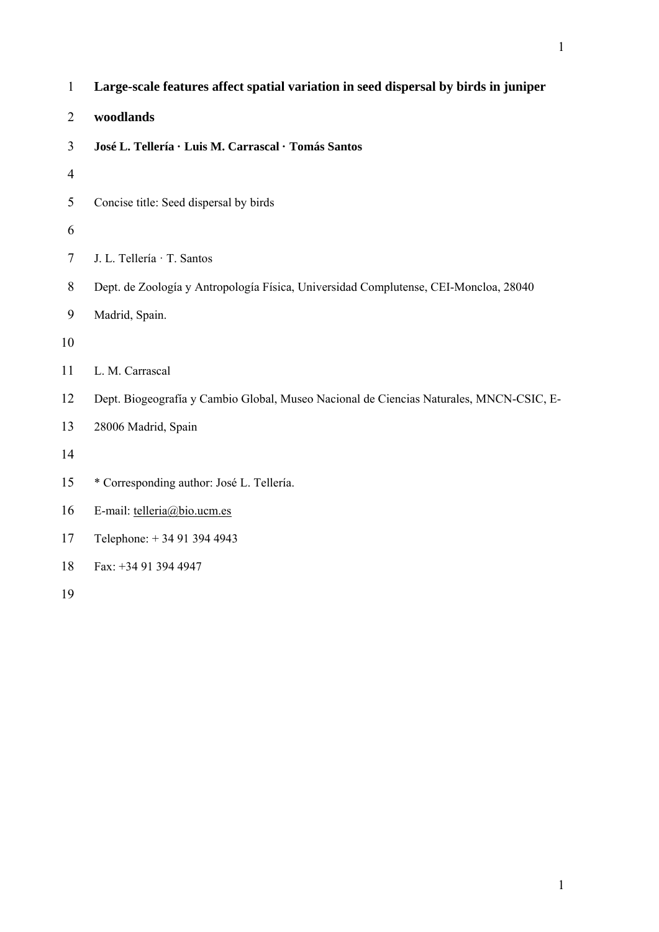| $\mathbf{1}$   | Large-scale features affect spatial variation in seed dispersal by birds in juniper     |
|----------------|-----------------------------------------------------------------------------------------|
| $\overline{2}$ | woodlands                                                                               |
| 3              | José L. Tellería · Luis M. Carrascal · Tomás Santos                                     |
| 4              |                                                                                         |
| 5              | Concise title: Seed dispersal by birds                                                  |
| 6              |                                                                                         |
| 7              | J. L. Tellería · T. Santos                                                              |
| 8              | Dept. de Zoología y Antropología Física, Universidad Complutense, CEI-Moncloa, 28040    |
| 9              | Madrid, Spain.                                                                          |
| 10             |                                                                                         |
| 11             | L. M. Carrascal                                                                         |
| 12             | Dept. Biogeografía y Cambio Global, Museo Nacional de Ciencias Naturales, MNCN-CSIC, E- |
| 13             | 28006 Madrid, Spain                                                                     |
| 14             |                                                                                         |
| 15             | * Corresponding author: José L. Tellería.                                               |
| 16             | E-mail: telleria@bio.ucm.es                                                             |
| 17             | Telephone: +34 91 394 4943                                                              |
| 18             | Fax: +34 91 394 4947                                                                    |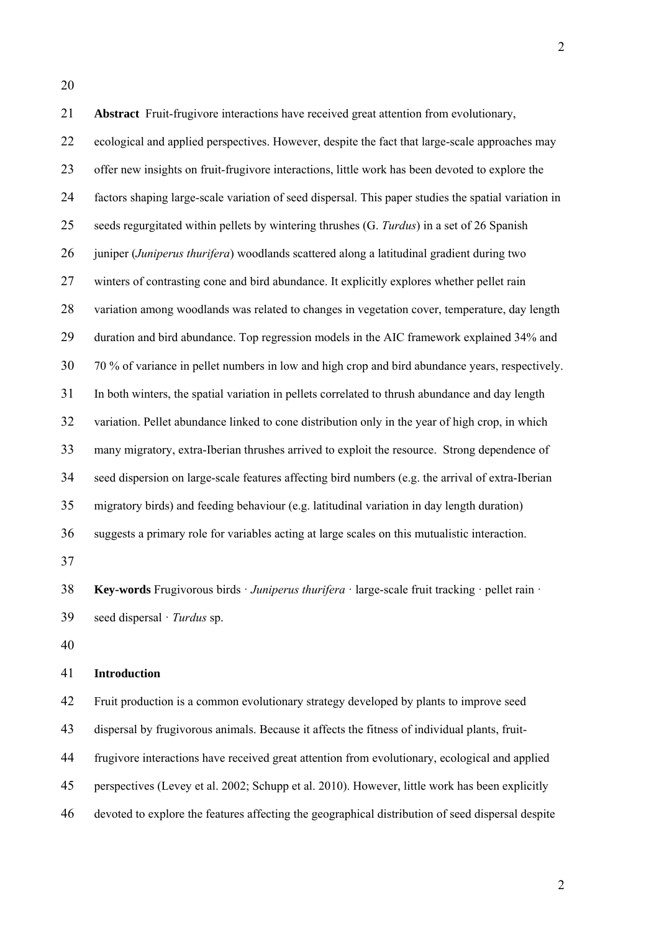21 **Abstract** Fruit-frugivore interactions have received great attention from evolutionary, 22 ecological and applied perspectives. However, despite the fact that large-scale approaches may 23 offer new insights on fruit-frugivore interactions, little work has been devoted to explore the 24 factors shaping large-scale variation of seed dispersal. This paper studies the spatial variation in 25 seeds regurgitated within pellets by wintering thrushes (G. *Turdus*) in a set of 26 Spanish 26 juniper (*Juniperus thurifera*) woodlands scattered along a latitudinal gradient during two 27 winters of contrasting cone and bird abundance. It explicitly explores whether pellet rain 28 variation among woodlands was related to changes in vegetation cover, temperature, day length 29 duration and bird abundance. Top regression models in the AIC framework explained 34% and 30 70 % of variance in pellet numbers in low and high crop and bird abundance years, respectively. 31 In both winters, the spatial variation in pellets correlated to thrush abundance and day length 32 variation. Pellet abundance linked to cone distribution only in the year of high crop, in which 33 many migratory, extra-Iberian thrushes arrived to exploit the resource. Strong dependence of 34 seed dispersion on large-scale features affecting bird numbers (e.g. the arrival of extra-Iberian 35 migratory birds) and feeding behaviour (e.g. latitudinal variation in day length duration) 36 suggests a primary role for variables acting at large scales on this mutualistic interaction. 37 38 **Key-words** Frugivorous birds · *Juniperus thurifera* · large-scale fruit tracking · pellet rain · 39 seed dispersal · *Turdus* sp.

40

## 41 **Introduction**

42 Fruit production is a common evolutionary strategy developed by plants to improve seed 43 dispersal by frugivorous animals. Because it affects the fitness of individual plants, fruit-44 frugivore interactions have received great attention from evolutionary, ecological and applied 45 perspectives (Levey et al. 2002; Schupp et al. 2010). However, little work has been explicitly 46 devoted to explore the features affecting the geographical distribution of seed dispersal despite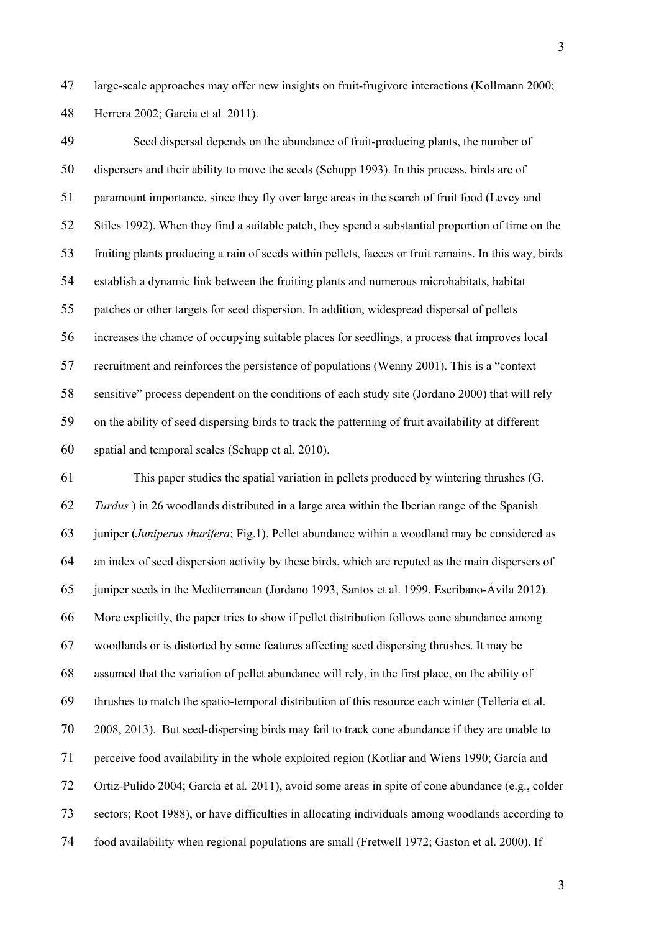47 large-scale approaches may offer new insights on fruit-frugivore interactions (Kollmann 2000; 48 Herrera 2002; García et al*.* 2011).

49 Seed dispersal depends on the abundance of fruit-producing plants, the number of 50 dispersers and their ability to move the seeds (Schupp 1993). In this process, birds are of 51 paramount importance, since they fly over large areas in the search of fruit food (Levey and 52 Stiles 1992). When they find a suitable patch, they spend a substantial proportion of time on the 53 fruiting plants producing a rain of seeds within pellets, faeces or fruit remains. In this way, birds 54 establish a dynamic link between the fruiting plants and numerous microhabitats, habitat 55 patches or other targets for seed dispersion. In addition, widespread dispersal of pellets 56 increases the chance of occupying suitable places for seedlings, a process that improves local 57 recruitment and reinforces the persistence of populations (Wenny 2001). This is a "context 58 sensitive" process dependent on the conditions of each study site (Jordano 2000) that will rely 59 on the ability of seed dispersing birds to track the patterning of fruit availability at different 60 spatial and temporal scales (Schupp et al. 2010).

61 This paper studies the spatial variation in pellets produced by wintering thrushes (G. 62 *Turdus* ) in 26 woodlands distributed in a large area within the Iberian range of the Spanish 63 juniper (*Juniperus thurifera*; Fig.1). Pellet abundance within a woodland may be considered as 64 an index of seed dispersion activity by these birds, which are reputed as the main dispersers of 65 juniper seeds in the Mediterranean (Jordano 1993, Santos et al. 1999, Escribano-Ávila 2012). 66 More explicitly, the paper tries to show if pellet distribution follows cone abundance among 67 woodlands or is distorted by some features affecting seed dispersing thrushes. It may be 68 assumed that the variation of pellet abundance will rely, in the first place, on the ability of 69 thrushes to match the spatio-temporal distribution of this resource each winter (Tellería et al. 70 2008, 2013). But seed-dispersing birds may fail to track cone abundance if they are unable to 71 perceive food availability in the whole exploited region (Kotliar and Wiens 1990; García and 72 Ortiz-Pulido 2004; García et al*.* 2011), avoid some areas in spite of cone abundance (e.g., colder 73 sectors; Root 1988), or have difficulties in allocating individuals among woodlands according to 74 food availability when regional populations are small (Fretwell 1972; Gaston et al. 2000). If

3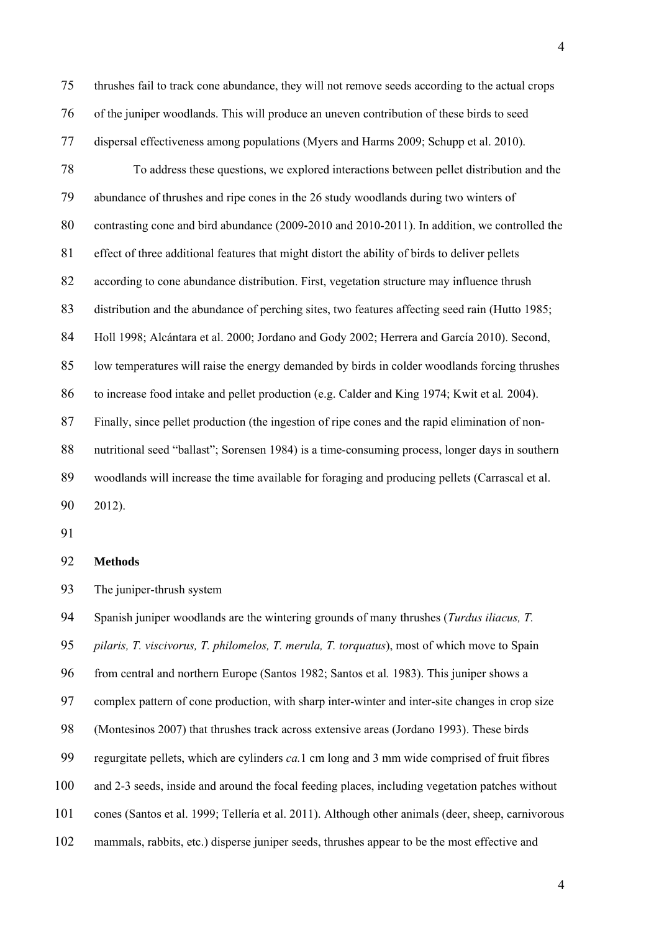75 thrushes fail to track cone abundance, they will not remove seeds according to the actual crops 76 of the juniper woodlands. This will produce an uneven contribution of these birds to seed 77 dispersal effectiveness among populations (Myers and Harms 2009; Schupp et al. 2010). 78 To address these questions, we explored interactions between pellet distribution and the 79 abundance of thrushes and ripe cones in the 26 study woodlands during two winters of 80 contrasting cone and bird abundance (2009-2010 and 2010-2011). In addition, we controlled the 81 effect of three additional features that might distort the ability of birds to deliver pellets 82 according to cone abundance distribution. First, vegetation structure may influence thrush 83 distribution and the abundance of perching sites, two features affecting seed rain (Hutto 1985; 84 Holl 1998; Alcántara et al. 2000; Jordano and Gody 2002; Herrera and García 2010). Second, 85 low temperatures will raise the energy demanded by birds in colder woodlands forcing thrushes 86 to increase food intake and pellet production (e.g. Calder and King 1974; Kwit et al*.* 2004). 87 Finally, since pellet production (the ingestion of ripe cones and the rapid elimination of non-88 nutritional seed "ballast"; Sorensen 1984) is a time-consuming process, longer days in southern 89 woodlands will increase the time available for foraging and producing pellets (Carrascal et al.

90 2012).

91

## 92 **Methods**

93 The juniper-thrush system

94 Spanish juniper woodlands are the wintering grounds of many thrushes (*Turdus iliacus, T.*  95 *pilaris, T. viscivorus, T. philomelos, T. merula, T. torquatus*), most of which move to Spain 96 from central and northern Europe (Santos 1982; Santos et al*.* 1983). This juniper shows a 97 complex pattern of cone production, with sharp inter-winter and inter-site changes in crop size 98 (Montesinos 2007) that thrushes track across extensive areas (Jordano 1993). These birds 99 regurgitate pellets, which are cylinders *ca.*1 cm long and 3 mm wide comprised of fruit fibres 100 and 2-3 seeds, inside and around the focal feeding places, including vegetation patches without 101 cones (Santos et al. 1999; Tellería et al. 2011). Although other animals (deer, sheep, carnivorous 102 mammals, rabbits, etc.) disperse juniper seeds, thrushes appear to be the most effective and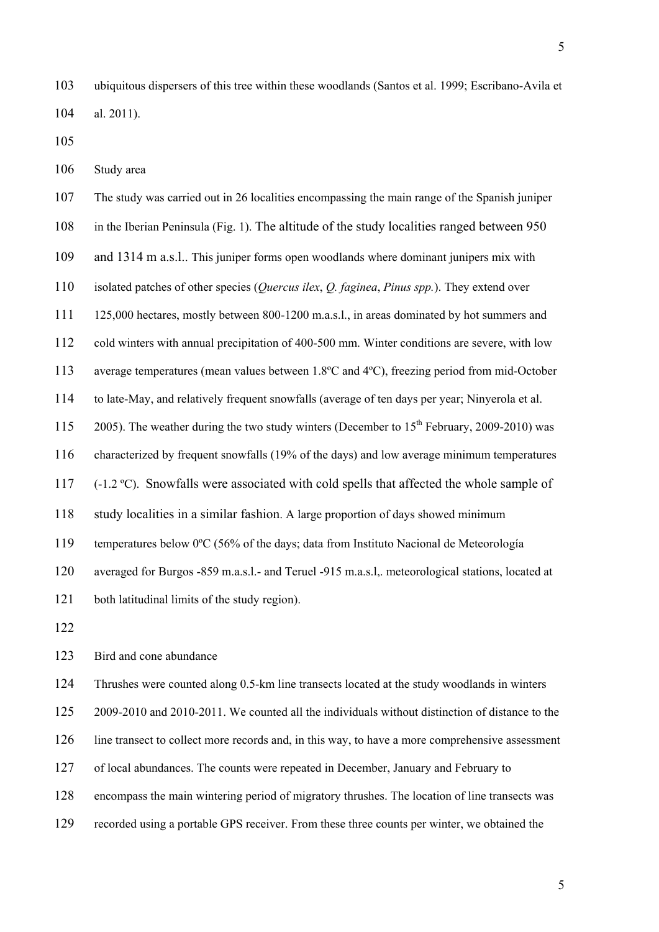103 ubiquitous dispersers of this tree within these woodlands (Santos et al. 1999; Escribano-Avila et 104 al. 2011).

105

106 Study area

107 The study was carried out in 26 localities encompassing the main range of the Spanish juniper 108 in the Iberian Peninsula (Fig. 1). The altitude of the study localities ranged between 950 109 and 1314 m a.s.l.. This juniper forms open woodlands where dominant junipers mix with 110 isolated patches of other species (*Quercus ilex*, *Q. faginea*, *Pinus spp.*). They extend over 111 125,000 hectares, mostly between 800-1200 m.a.s.l., in areas dominated by hot summers and 112 cold winters with annual precipitation of 400-500 mm. Winter conditions are severe, with low 113 average temperatures (mean values between 1.8ºC and 4ºC), freezing period from mid-October 114 to late-May, and relatively frequent snowfalls (average of ten days per year; Ninyerola et al. 115 2005). The weather during the two study winters (December to  $15<sup>th</sup>$  February, 2009-2010) was 116 characterized by frequent snowfalls (19% of the days) and low average minimum temperatures 117 (-1.2 ºC). Snowfalls were associated with cold spells that affected the whole sample of 118 study localities in a similar fashion. A large proportion of days showed minimum 119 temperatures below 0ºC (56% of the days; data from Instituto Nacional de Meteorología 120 averaged for Burgos -859 m.a.s.l.- and Teruel -915 m.a.s.l,. meteorological stations, located at 121 both latitudinal limits of the study region). 122

123 Bird and cone abundance

124 Thrushes were counted along 0.5-km line transects located at the study woodlands in winters

125 2009-2010 and 2010-2011. We counted all the individuals without distinction of distance to the

- 126 line transect to collect more records and, in this way, to have a more comprehensive assessment
- 127 of local abundances. The counts were repeated in December, January and February to
- 128 encompass the main wintering period of migratory thrushes. The location of line transects was
- 129 recorded using a portable GPS receiver. From these three counts per winter, we obtained the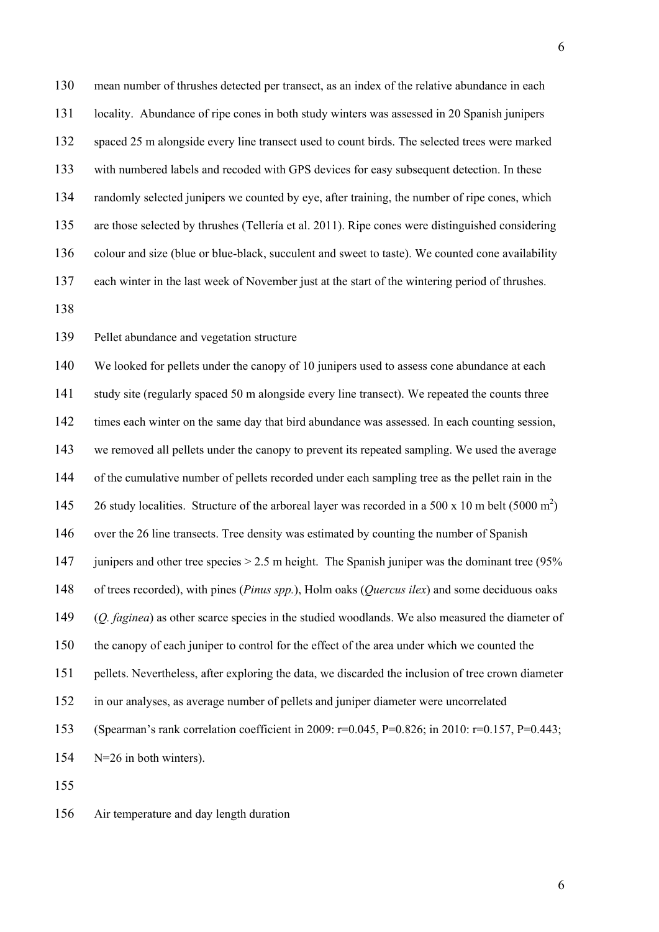130 mean number of thrushes detected per transect, as an index of the relative abundance in each 131 locality. Abundance of ripe cones in both study winters was assessed in 20 Spanish junipers 132 spaced 25 m alongside every line transect used to count birds. The selected trees were marked 133 with numbered labels and recoded with GPS devices for easy subsequent detection. In these 134 randomly selected junipers we counted by eye, after training, the number of ripe cones, which 135 are those selected by thrushes (Tellería et al. 2011). Ripe cones were distinguished considering 136 colour and size (blue or blue-black, succulent and sweet to taste). We counted cone availability 137 each winter in the last week of November just at the start of the wintering period of thrushes.

138

139 Pellet abundance and vegetation structure

140 We looked for pellets under the canopy of 10 junipers used to assess cone abundance at each 141 study site (regularly spaced 50 m alongside every line transect). We repeated the counts three 142 times each winter on the same day that bird abundance was assessed. In each counting session, 143 we removed all pellets under the canopy to prevent its repeated sampling. We used the average 144 of the cumulative number of pellets recorded under each sampling tree as the pellet rain in the 145 26 study localities. Structure of the arboreal layer was recorded in a 500 x 10 m belt (5000 m<sup>2</sup>) 146 over the 26 line transects. Tree density was estimated by counting the number of Spanish 147 junipers and other tree species  $> 2.5$  m height. The Spanish juniper was the dominant tree (95%) 148 of trees recorded), with pines (*Pinus spp.*), Holm oaks (*Quercus ilex*) and some deciduous oaks 149 (*Q. faginea*) as other scarce species in the studied woodlands. We also measured the diameter of 150 the canopy of each juniper to control for the effect of the area under which we counted the 151 pellets. Nevertheless, after exploring the data, we discarded the inclusion of tree crown diameter 152 in our analyses, as average number of pellets and juniper diameter were uncorrelated 153 (Spearman's rank correlation coefficient in 2009: r=0.045, P=0.826; in 2010: r=0.157, P=0.443; 154 N=26 in both winters).

155

156 Air temperature and day length duration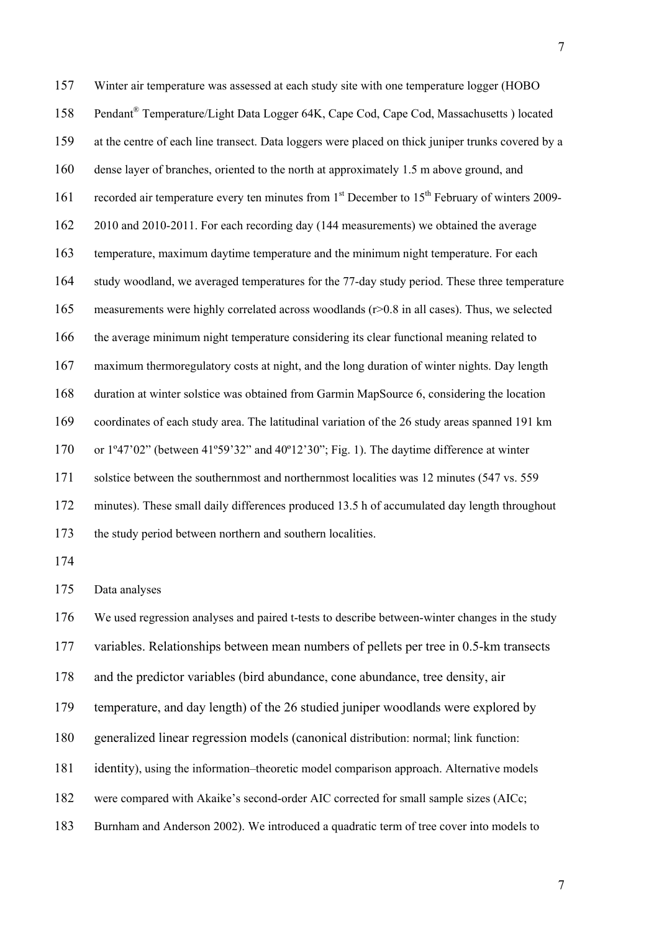157 Winter air temperature was assessed at each study site with one temperature logger (HOBO 158 Pendant<sup>®</sup> Temperature/Light Data Logger 64K, Cape Cod, Cape Cod, Massachusetts ) located 159 at the centre of each line transect. Data loggers were placed on thick juniper trunks covered by a 160 dense layer of branches, oriented to the north at approximately 1.5 m above ground, and 161 recorded air temperature every ten minutes from 1<sup>st</sup> December to 15<sup>th</sup> February of winters 2009-162 2010 and 2010-2011. For each recording day (144 measurements) we obtained the average 163 temperature, maximum daytime temperature and the minimum night temperature. For each 164 study woodland, we averaged temperatures for the 77-day study period. These three temperature 165 measurements were highly correlated across woodlands (r>0.8 in all cases). Thus, we selected 166 the average minimum night temperature considering its clear functional meaning related to 167 maximum thermoregulatory costs at night, and the long duration of winter nights. Day length 168 duration at winter solstice was obtained from Garmin MapSource 6, considering the location 169 coordinates of each study area. The latitudinal variation of the 26 study areas spanned 191 km 170 or 1º47'02" (between 41º59'32" and 40º12'30"; Fig. 1). The daytime difference at winter 171 solstice between the southernmost and northernmost localities was 12 minutes (547 vs. 559 172 minutes). These small daily differences produced 13.5 h of accumulated day length throughout 173 the study period between northern and southern localities.

174

175 Data analyses

176 We used regression analyses and paired t-tests to describe between-winter changes in the study 177 variables. Relationships between mean numbers of pellets per tree in 0.5-km transects

178 and the predictor variables (bird abundance, cone abundance, tree density, air

179 temperature, and day length) of the 26 studied juniper woodlands were explored by

180 generalized linear regression models (canonical distribution: normal; link function:

181 identity), using the information–theoretic model comparison approach. Alternative models

182 were compared with Akaike's second-order AIC corrected for small sample sizes (AICc;

183 Burnham and Anderson 2002). We introduced a quadratic term of tree cover into models to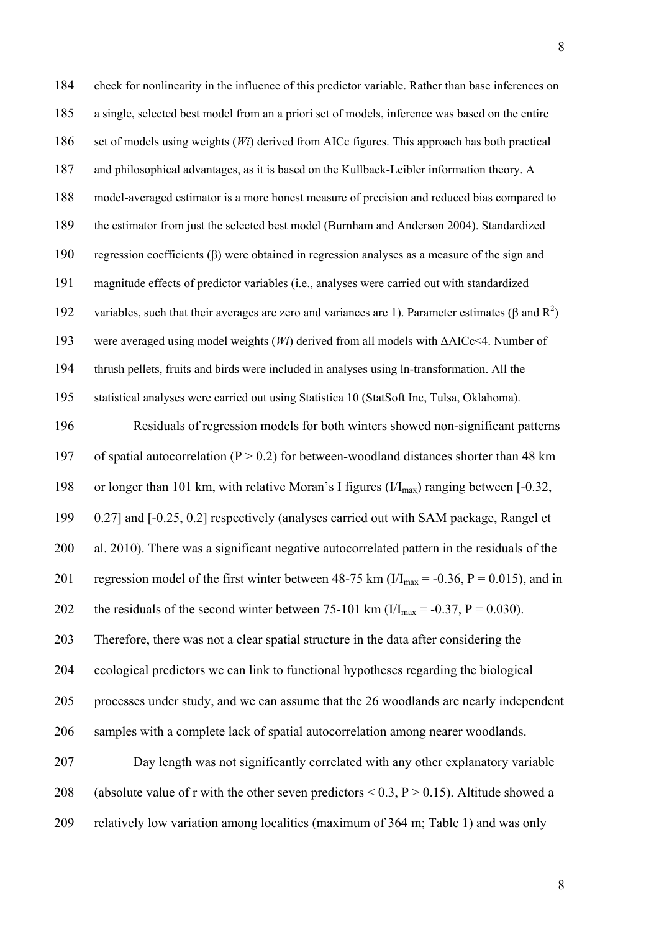184 check for nonlinearity in the influence of this predictor variable. Rather than base inferences on 185 a single, selected best model from an a priori set of models, inference was based on the entire 186 set of models using weights (*Wi*) derived from AICc figures. This approach has both practical 187 and philosophical advantages, as it is based on the Kullback-Leibler information theory. A 188 model-averaged estimator is a more honest measure of precision and reduced bias compared to 189 the estimator from just the selected best model (Burnham and Anderson 2004). Standardized 190 regression coefficients  $(\beta)$  were obtained in regression analyses as a measure of the sign and 191 magnitude effects of predictor variables (i.e., analyses were carried out with standardized 192 variables, such that their averages are zero and variances are 1). Parameter estimates ( $\beta$  and  $R^2$ ) 193 were averaged using model weights (*Wi*) derived from all models with ΔAICc<4. Number of 194 thrush pellets, fruits and birds were included in analyses using ln-transformation. All the 195 statistical analyses were carried out using Statistica 10 (StatSoft Inc, Tulsa, Oklahoma).

196 Residuals of regression models for both winters showed non-significant patterns 197 of spatial autocorrelation ( $P > 0.2$ ) for between-woodland distances shorter than 48 km 198 or longer than 101 km, with relative Moran's I figures  $\left(\frac{I}{I_{\text{max}}}\right)$  ranging between [-0.32, 199 0.27] and [-0.25, 0.2] respectively (analyses carried out with SAM package, Rangel et 200 al. 2010). There was a significant negative autocorrelated pattern in the residuals of the 201 regression model of the first winter between 48-75 km ( $I/I_{max} = -0.36$ , P = 0.015), and in 202 the residuals of the second winter between 75-101 km ( $I/I_{\text{max}} = -0.37$ , P = 0.030). 203 Therefore, there was not a clear spatial structure in the data after considering the

204 ecological predictors we can link to functional hypotheses regarding the biological 205 processes under study, and we can assume that the 26 woodlands are nearly independent 206 samples with a complete lack of spatial autocorrelation among nearer woodlands.

207 Day length was not significantly correlated with any other explanatory variable 208 (absolute value of r with the other seven predictors  $\le 0.3$ ,  $P > 0.15$ ). Altitude showed a 209 relatively low variation among localities (maximum of 364 m; Table 1) and was only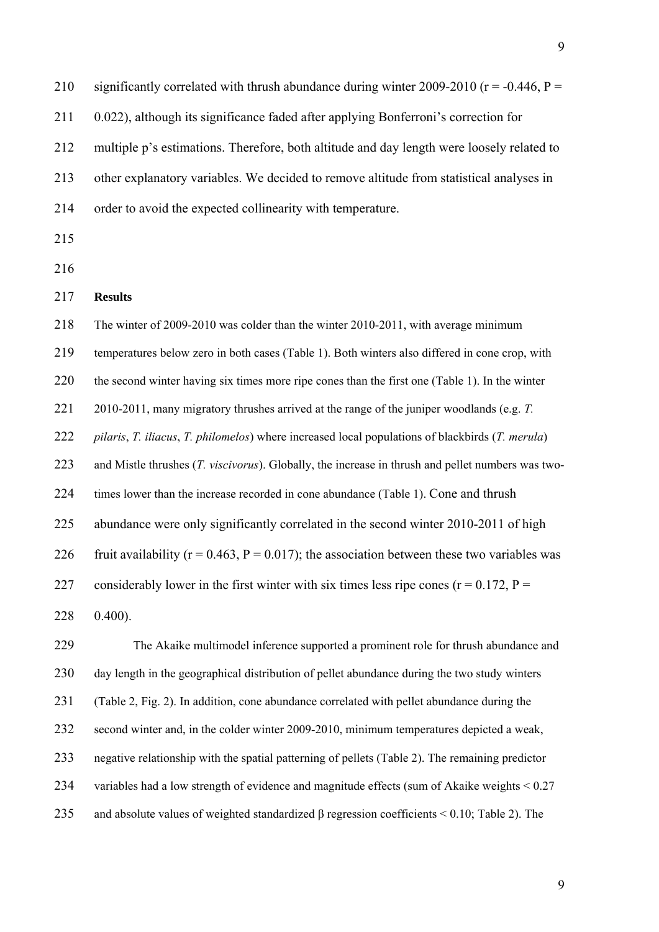210 significantly correlated with thrush abundance during winter 2009-2010 ( $r = -0.446$ ,  $P =$ 211 0.022), although its significance faded after applying Bonferroni's correction for 212 multiple p's estimations. Therefore, both altitude and day length were loosely related to 213 other explanatory variables. We decided to remove altitude from statistical analyses in 214 order to avoid the expected collinearity with temperature. 215 216 217 **Results**  218 The winter of 2009-2010 was colder than the winter 2010-2011, with average minimum 219 temperatures below zero in both cases (Table 1). Both winters also differed in cone crop, with 220 the second winter having six times more ripe cones than the first one (Table 1). In the winter 221 2010-2011, many migratory thrushes arrived at the range of the juniper woodlands (e.g. *T.*  222 *pilaris*, *T. iliacus*, *T. philomelos*) where increased local populations of blackbirds (*T. merula*) 223 and Mistle thrushes (*T. viscivorus*). Globally, the increase in thrush and pellet numbers was two-224 times lower than the increase recorded in cone abundance (Table 1). Cone and thrush 225 abundance were only significantly correlated in the second winter 2010-2011 of high 226 fruit availability ( $r = 0.463$ ,  $P = 0.017$ ); the association between these two variables was 227 considerably lower in the first winter with six times less ripe cones ( $r = 0.172$ ,  $P =$ 228 0.400).

229 The Akaike multimodel inference supported a prominent role for thrush abundance and 230 day length in the geographical distribution of pellet abundance during the two study winters 231 (Table 2, Fig. 2). In addition, cone abundance correlated with pellet abundance during the 232 second winter and, in the colder winter 2009-2010, minimum temperatures depicted a weak, 233 negative relationship with the spatial patterning of pellets (Table 2). The remaining predictor 234 variables had a low strength of evidence and magnitude effects (sum of Akaike weights < 0.27 235 and absolute values of weighted standardized β regression coefficients < 0.10; Table 2). The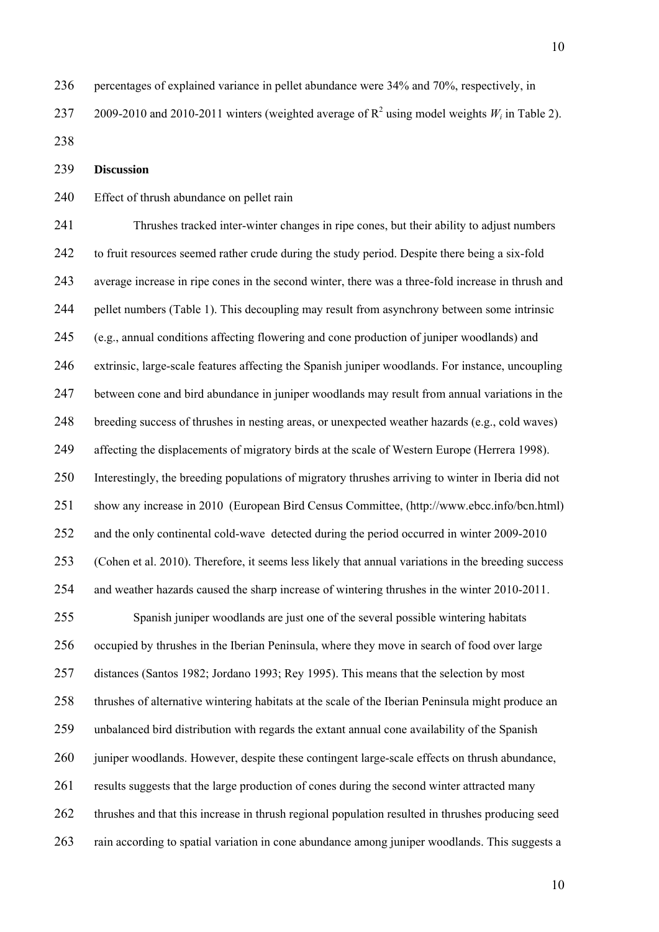236 percentages of explained variance in pellet abundance were 34% and 70%, respectively, in

237 2009-2010 and 2010-2011 winters (weighted average of  $R^2$  using model weights  $W_i$  in Table 2).

238

239 **Discussion** 

## 240 Effect of thrush abundance on pellet rain

241 Thrushes tracked inter-winter changes in ripe cones, but their ability to adjust numbers 242 to fruit resources seemed rather crude during the study period. Despite there being a six-fold 243 average increase in ripe cones in the second winter, there was a three-fold increase in thrush and 244 pellet numbers (Table 1). This decoupling may result from asynchrony between some intrinsic 245 (e.g., annual conditions affecting flowering and cone production of juniper woodlands) and 246 extrinsic, large-scale features affecting the Spanish juniper woodlands. For instance, uncoupling 247 between cone and bird abundance in juniper woodlands may result from annual variations in the 248 breeding success of thrushes in nesting areas, or unexpected weather hazards (e.g., cold waves) 249 affecting the displacements of migratory birds at the scale of Western Europe (Herrera 1998). 250 Interestingly, the breeding populations of migratory thrushes arriving to winter in Iberia did not 251 show any increase in 2010 (European Bird Census Committee, (http://www.ebcc.info/bcn.html) 252 and the only continental cold-wave detected during the period occurred in winter 2009-2010 253 (Cohen et al. 2010). Therefore, it seems less likely that annual variations in the breeding success 254 and weather hazards caused the sharp increase of wintering thrushes in the winter 2010-2011. 255 Spanish juniper woodlands are just one of the several possible wintering habitats 256 occupied by thrushes in the Iberian Peninsula, where they move in search of food over large

257 distances (Santos 1982; Jordano 1993; Rey 1995). This means that the selection by most 258 thrushes of alternative wintering habitats at the scale of the Iberian Peninsula might produce an 259 unbalanced bird distribution with regards the extant annual cone availability of the Spanish 260 juniper woodlands. However, despite these contingent large-scale effects on thrush abundance, 261 results suggests that the large production of cones during the second winter attracted many 262 thrushes and that this increase in thrush regional population resulted in thrushes producing seed 263 rain according to spatial variation in cone abundance among juniper woodlands. This suggests a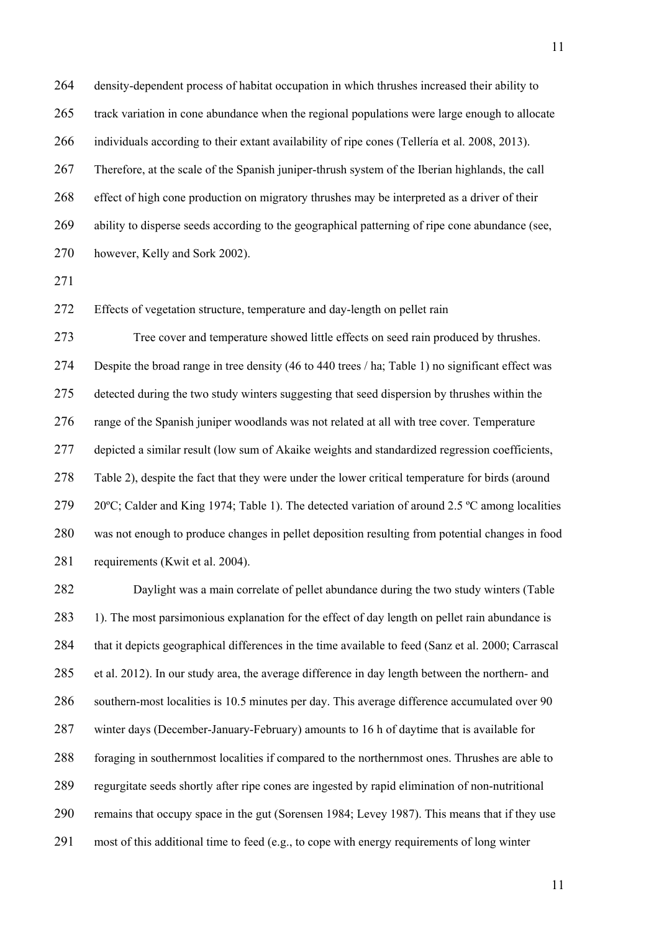264 density-dependent process of habitat occupation in which thrushes increased their ability to 265 track variation in cone abundance when the regional populations were large enough to allocate 266 individuals according to their extant availability of ripe cones (Tellería et al. 2008, 2013). 267 Therefore, at the scale of the Spanish juniper-thrush system of the Iberian highlands, the call 268 effect of high cone production on migratory thrushes may be interpreted as a driver of their 269 ability to disperse seeds according to the geographical patterning of ripe cone abundance (see, 270 however, Kelly and Sork 2002).

271

272 Effects of vegetation structure, temperature and day-length on pellet rain

273 Tree cover and temperature showed little effects on seed rain produced by thrushes. 274 Despite the broad range in tree density (46 to 440 trees / ha; Table 1) no significant effect was 275 detected during the two study winters suggesting that seed dispersion by thrushes within the 276 range of the Spanish juniper woodlands was not related at all with tree cover. Temperature 277 depicted a similar result (low sum of Akaike weights and standardized regression coefficients, 278 Table 2), despite the fact that they were under the lower critical temperature for birds (around 279 20°C; Calder and King 1974; Table 1). The detected variation of around 2.5 °C among localities 280 was not enough to produce changes in pellet deposition resulting from potential changes in food 281 requirements (Kwit et al. 2004).

282 Daylight was a main correlate of pellet abundance during the two study winters (Table 283 1). The most parsimonious explanation for the effect of day length on pellet rain abundance is 284 that it depicts geographical differences in the time available to feed (Sanz et al. 2000; Carrascal 285 et al. 2012). In our study area, the average difference in day length between the northern- and 286 southern-most localities is 10.5 minutes per day. This average difference accumulated over 90 287 winter days (December-January-February) amounts to 16 h of daytime that is available for 288 foraging in southernmost localities if compared to the northernmost ones. Thrushes are able to 289 regurgitate seeds shortly after ripe cones are ingested by rapid elimination of non-nutritional 290 remains that occupy space in the gut (Sorensen 1984; Levey 1987). This means that if they use 291 most of this additional time to feed (e.g., to cope with energy requirements of long winter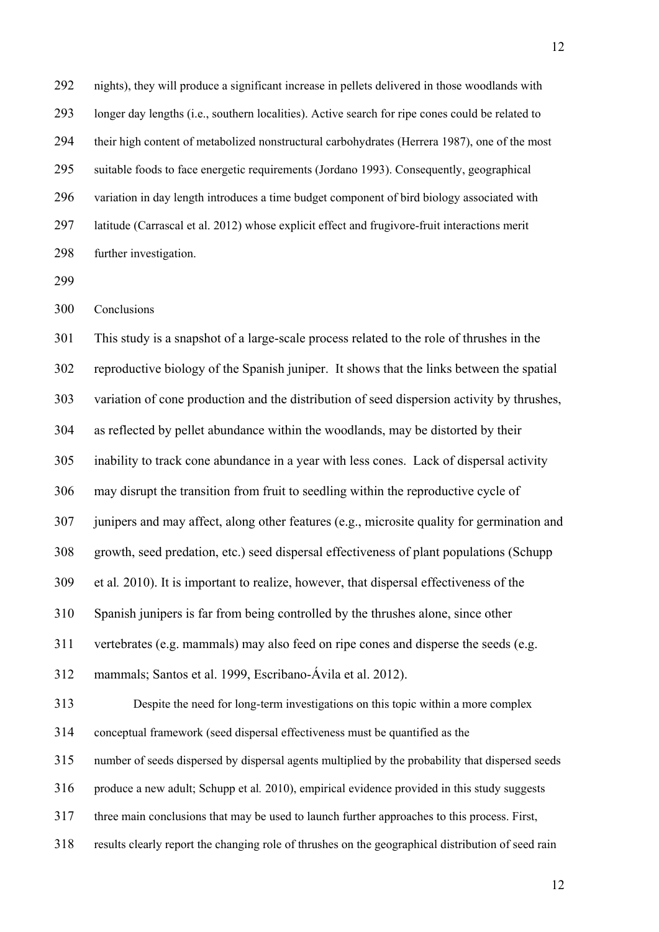292 nights), they will produce a significant increase in pellets delivered in those woodlands with 293 longer day lengths (i.e., southern localities). Active search for ripe cones could be related to 294 their high content of metabolized nonstructural carbohydrates (Herrera 1987), one of the most 295 suitable foods to face energetic requirements (Jordano 1993). Consequently, geographical 296 variation in day length introduces a time budget component of bird biology associated with 297 latitude (Carrascal et al. 2012) whose explicit effect and frugivore-fruit interactions merit 298 further investigation.

299

300 Conclusions

301 This study is a snapshot of a large-scale process related to the role of thrushes in the 302 reproductive biology of the Spanish juniper. It shows that the links between the spatial 303 variation of cone production and the distribution of seed dispersion activity by thrushes, 304 as reflected by pellet abundance within the woodlands, may be distorted by their 305 inability to track cone abundance in a year with less cones. Lack of dispersal activity 306 may disrupt the transition from fruit to seedling within the reproductive cycle of 307 junipers and may affect, along other features (e.g., microsite quality for germination and 308 growth, seed predation, etc.) seed dispersal effectiveness of plant populations (Schupp 309 et al*.* 2010). It is important to realize, however, that dispersal effectiveness of the 310 Spanish junipers is far from being controlled by the thrushes alone, since other 311 vertebrates (e.g. mammals) may also feed on ripe cones and disperse the seeds (e.g. 312 mammals; Santos et al. 1999, Escribano-Ávila et al. 2012). 313 Despite the need for long-term investigations on this topic within a more complex 314 conceptual framework (seed dispersal effectiveness must be quantified as the 315 number of seeds dispersed by dispersal agents multiplied by the probability that dispersed seeds 316 produce a new adult; Schupp et al*.* 2010), empirical evidence provided in this study suggests 317 three main conclusions that may be used to launch further approaches to this process. First, 318 results clearly report the changing role of thrushes on the geographical distribution of seed rain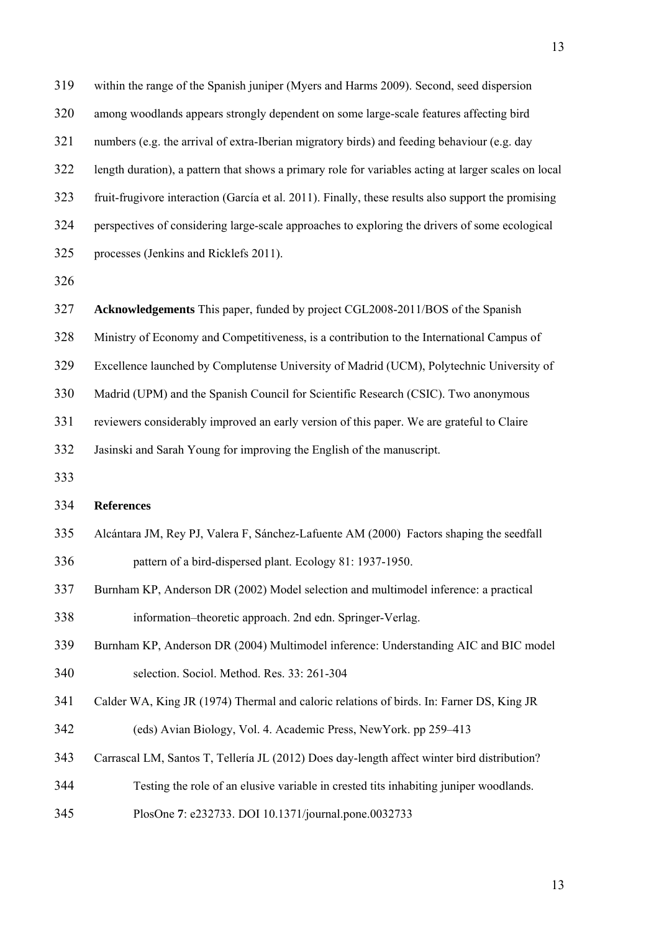319 within the range of the Spanish juniper (Myers and Harms 2009). Second, seed dispersion 320 among woodlands appears strongly dependent on some large-scale features affecting bird 321 numbers (e.g. the arrival of extra-Iberian migratory birds) and feeding behaviour (e.g. day 322 length duration), a pattern that shows a primary role for variables acting at larger scales on local 323 fruit-frugivore interaction (García et al. 2011). Finally, these results also support the promising 324 perspectives of considering large-scale approaches to exploring the drivers of some ecological 325 processes (Jenkins and Ricklefs 2011).

326

13

- 327 **Acknowledgements** This paper, funded by project CGL2008-2011/BOS of the Spanish
- 328 Ministry of Economy and Competitiveness, is a contribution to the International Campus of
- 329 Excellence launched by Complutense University of Madrid (UCM), Polytechnic University of
- 330 Madrid (UPM) and the Spanish Council for Scientific Research (CSIC). Two anonymous

331 reviewers considerably improved an early version of this paper. We are grateful to Claire

332 Jasinski and Sarah Young for improving the English of the manuscript.

333

## 334 **References**

- 335 Alcántara JM, Rey PJ, Valera F, Sánchez-Lafuente AM (2000) Factors shaping the seedfall 336 pattern of a bird-dispersed plant. Ecology 81: 1937-1950.
- 337 Burnham KP, Anderson DR (2002) Model selection and multimodel inference: a practical 338 information–theoretic approach. 2nd edn. Springer-Verlag.
- 339 Burnham KP, Anderson DR (2004) Multimodel inference: Understanding AIC and BIC model 340 selection. Sociol. Method. Res. 33: 261-304
- 341 Calder WA, King JR (1974) Thermal and caloric relations of birds. In: Farner DS, King JR 342 (eds) Avian Biology, Vol. 4. Academic Press, NewYork. pp 259–413
- 343 Carrascal LM, Santos T, Tellería JL (2012) Does day-length affect winter bird distribution?
- 344 Testing the role of an elusive variable in crested tits inhabiting juniper woodlands.
- 345 PlosOne **7**: e232733. DOI 10.1371/journal.pone.0032733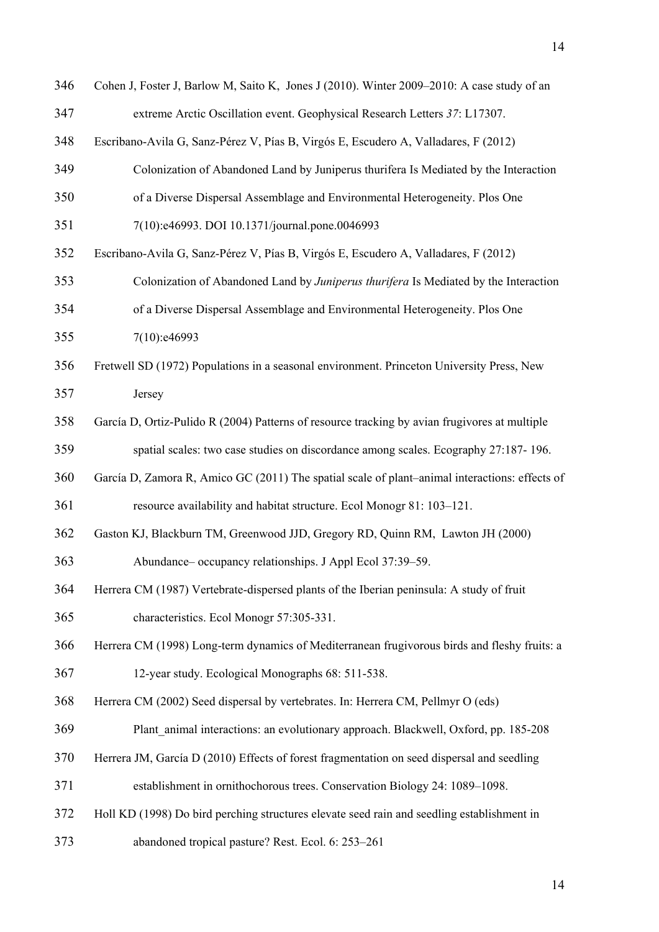| 346 | Cohen J, Foster J, Barlow M, Saito K, Jones J (2010). Winter 2009–2010: A case study of an     |
|-----|------------------------------------------------------------------------------------------------|
| 347 | extreme Arctic Oscillation event. Geophysical Research Letters 37: L17307.                     |
| 348 | Escribano-Avila G, Sanz-Pérez V, Pías B, Virgós E, Escudero A, Valladares, F (2012)            |
| 349 | Colonization of Abandoned Land by Juniperus thurifera Is Mediated by the Interaction           |
| 350 | of a Diverse Dispersal Assemblage and Environmental Heterogeneity. Plos One                    |
| 351 | 7(10):e46993. DOI 10.1371/journal.pone.0046993                                                 |
| 352 | Escribano-Avila G, Sanz-Pérez V, Pías B, Virgós E, Escudero A, Valladares, F (2012)            |
| 353 | Colonization of Abandoned Land by Juniperus thurifera Is Mediated by the Interaction           |
| 354 | of a Diverse Dispersal Assemblage and Environmental Heterogeneity. Plos One                    |
| 355 | 7(10):e46993                                                                                   |
| 356 | Fretwell SD (1972) Populations in a seasonal environment. Princeton University Press, New      |
| 357 | Jersey                                                                                         |
| 358 | García D, Ortiz-Pulido R (2004) Patterns of resource tracking by avian frugivores at multiple  |
| 359 | spatial scales: two case studies on discordance among scales. Ecography 27:187-196.            |
| 360 | García D, Zamora R, Amico GC (2011) The spatial scale of plant-animal interactions: effects of |
| 361 | resource availability and habitat structure. Ecol Monogr 81: 103-121.                          |
| 362 | Gaston KJ, Blackburn TM, Greenwood JJD, Gregory RD, Quinn RM, Lawton JH (2000)                 |
| 363 | Abundance-occupancy relationships. J Appl Ecol 37:39-59.                                       |
| 364 | Herrera CM (1987) Vertebrate-dispersed plants of the Iberian peninsula: A study of fruit       |
| 365 | characteristics. Ecol Monogr 57:305-331.                                                       |
| 366 | Herrera CM (1998) Long-term dynamics of Mediterranean frugivorous birds and fleshy fruits: a   |
| 367 | 12-year study. Ecological Monographs 68: 511-538.                                              |
| 368 | Herrera CM (2002) Seed dispersal by vertebrates. In: Herrera CM, Pellmyr O (eds)               |
| 369 | Plant animal interactions: an evolutionary approach. Blackwell, Oxford, pp. 185-208            |
| 370 | Herrera JM, García D (2010) Effects of forest fragmentation on seed dispersal and seedling     |
| 371 | establishment in ornithochorous trees. Conservation Biology 24: 1089–1098.                     |
| 372 | Holl KD (1998) Do bird perching structures elevate seed rain and seedling establishment in     |
| 373 | abandoned tropical pasture? Rest. Ecol. 6: 253-261                                             |
|     |                                                                                                |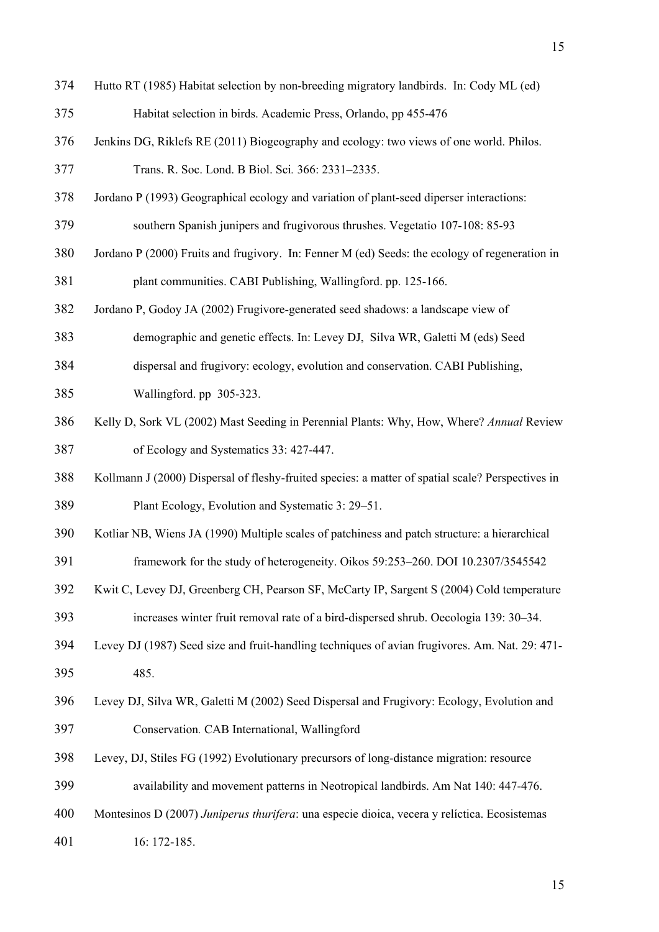- 374 Hutto RT (1985) Habitat selection by non-breeding migratory landbirds. In: Cody ML (ed)
- 375 Habitat selection in birds. Academic Press, Orlando, pp 455-476
- 376 Jenkins DG, Riklefs RE (2011) Biogeography and ecology: two views of one world. Philos.
- 377 Trans. R. Soc. Lond. B Biol. Sci*.* 366: 2331–2335.
- 378 Jordano P (1993) Geographical ecology and variation of plant-seed diperser interactions:

379 southern Spanish junipers and frugivorous thrushes. Vegetatio 107-108: 85-93

- 380 Jordano P (2000) Fruits and frugivory. In: Fenner M (ed) Seeds: the ecology of regeneration in 381 plant communities. CABI Publishing, Wallingford. pp. 125-166.
- 382 Jordano P, Godoy JA (2002) Frugivore-generated seed shadows: a landscape view of

383 demographic and genetic effects. In: Levey DJ, Silva WR, Galetti M (eds) Seed

- 384 dispersal and frugivory: ecology, evolution and conservation. CABI Publishing,
- 385 Wallingford. pp 305-323.
- 386 Kelly D, Sork VL (2002) Mast Seeding in Perennial Plants: Why, How, Where? *Annual* Review 387 of Ecology and Systematics 33: 427-447.
- 388 Kollmann J (2000) Dispersal of fleshy-fruited species: a matter of spatial scale? Perspectives in 389 Plant Ecology, Evolution and Systematic 3: 29–51.
- 390 Kotliar NB, Wiens JA (1990) Multiple scales of patchiness and patch structure: a hierarchical
- 391 framework for the study of heterogeneity. Oikos 59:253–260. DOI 10.2307/3545542
- 392 Kwit C, Levey DJ, Greenberg CH, Pearson SF, McCarty IP, Sargent S (2004) Cold temperature
- 393 increases winter fruit removal rate of a bird-dispersed shrub. Oecologia 139: 30–34.
- 394 Levey DJ (1987) Seed size and fruit-handling techniques of avian frugivores. Am. Nat. 29: 471- 395 485.
- 396 Levey DJ, Silva WR, Galetti M (2002) Seed Dispersal and Frugivory: Ecology, Evolution and 397 Conservation*.* CAB International, Wallingford
- 398 Levey, DJ, Stiles FG (1992) Evolutionary precursors of long-distance migration: resource
- 399 availability and movement patterns in Neotropical landbirds. Am Nat 140: 447-476.
- 400 Montesinos D (2007) *Juniperus thurifera*: una especie dioica, vecera y relíctica. Ecosistemas
- 401 16: 172-185.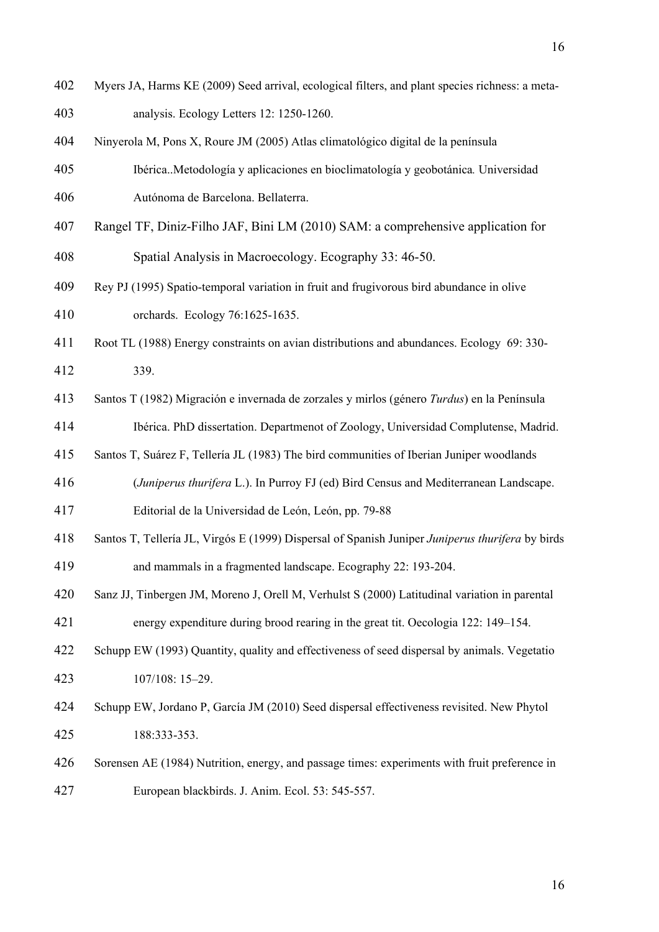402 Myers JA, Harms KE (2009) Seed arrival, ecological filters, and plant species richness: a meta-403 analysis. Ecology Letters 12: 1250-1260. 404 Ninyerola M, Pons X, Roure JM (2005) Atlas climatológico digital de la península 405 Ibérica..Metodología y aplicaciones en bioclimatología y geobotánica*.* Universidad 406 Autónoma de Barcelona. Bellaterra. 407 Rangel TF, Diniz-Filho JAF, Bini LM (2010) SAM: a comprehensive application for 408 Spatial Analysis in Macroecology. Ecography 33: 46-50. 409 Rey PJ (1995) Spatio-temporal variation in fruit and frugivorous bird abundance in olive 410 orchards. Ecology 76:1625-1635. 411 Root TL (1988) Energy constraints on avian distributions and abundances. Ecology 69: 330- 412 339. 413 Santos T (1982) Migración e invernada de zorzales y mirlos (género *Turdus*) en la Península 414 Ibérica. PhD dissertation. Departmenot of Zoology, Universidad Complutense, Madrid. 415 Santos T, Suárez F, Tellería JL (1983) The bird communities of Iberian Juniper woodlands 416 (*Juniperus thurifera* L.). In Purroy FJ (ed) Bird Census and Mediterranean Landscape. 417 Editorial de la Universidad de León, León, pp. 79-88 418 Santos T, Tellería JL, Virgós E (1999) Dispersal of Spanish Juniper *Juniperus thurifera* by birds 419 and mammals in a fragmented landscape. Ecography 22: 193-204. 420 Sanz JJ, Tinbergen JM, Moreno J, Orell M, Verhulst S (2000) Latitudinal variation in parental 421 energy expenditure during brood rearing in the great tit. Oecologia 122: 149–154. 422 Schupp EW (1993) Quantity, quality and effectiveness of seed dispersal by animals. Vegetatio 423 107/108: 15–29. 424 Schupp EW, Jordano P, García JM (2010) Seed dispersal effectiveness revisited. New Phytol 425 188:333-353. 426 Sorensen AE (1984) Nutrition, energy, and passage times: experiments with fruit preference in 427 European blackbirds. J. Anim. Ecol. 53: 545-557.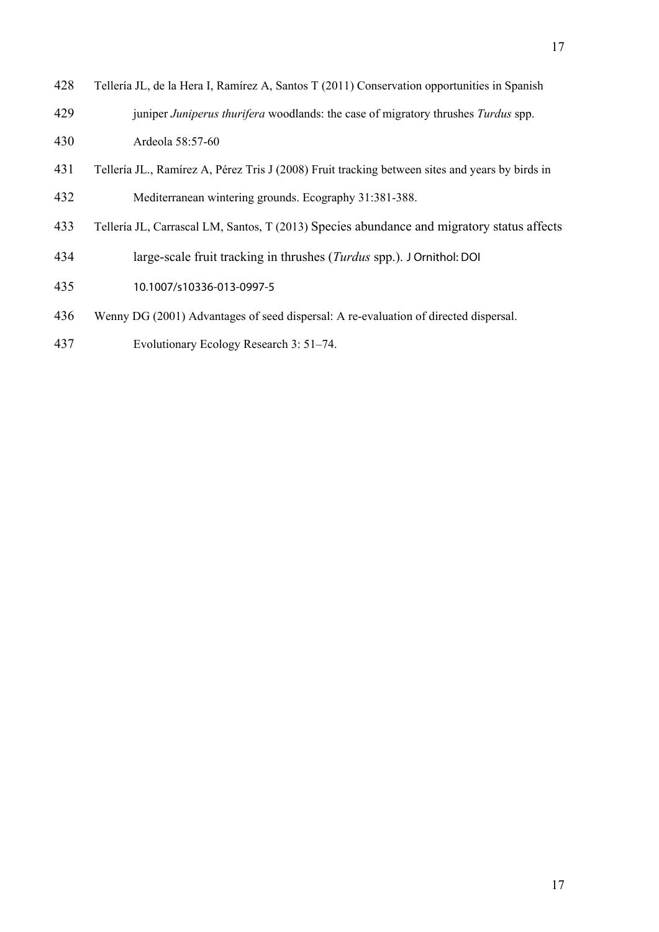- 428 Tellería JL, de la Hera I, Ramírez A, Santos T (2011) Conservation opportunities in Spanish 429 juniper *Juniperus thurifera* woodlands: the case of migratory thrushes *Turdus* spp. 430 Ardeola 58:57-60
- 431 Tellería JL., Ramírez A, Pérez Tris J (2008) Fruit tracking between sites and years by birds in 432 Mediterranean wintering grounds. Ecography 31:381-388.
- 433 Tellería JL, Carrascal LM, Santos, T (2013) Species abundance and migratory status affects
- 434 large-scale fruit tracking in thrushes (*Turdus* spp.). J Ornithol: DOI
- 435 10.1007/s10336-013-0997-5
- 436 Wenny DG (2001) Advantages of seed dispersal: A re-evaluation of directed dispersal.
- 437 Evolutionary Ecology Research 3: 51–74.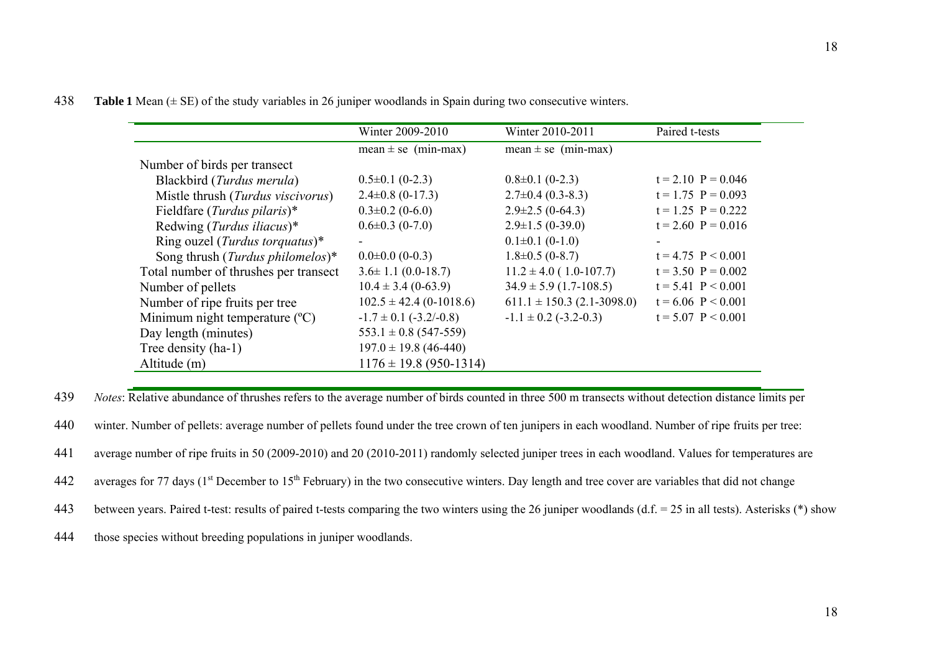438 **Table 1** Mean (± SE) of the study variables in 26 juniper woodlands in Spain during two consecutive winters.

|                                           | Winter 2009-2010               | Winter 2010-2011               | Paired t-tests       |
|-------------------------------------------|--------------------------------|--------------------------------|----------------------|
|                                           | mean $\pm$ se (min-max)        | mean $\pm$ se (min-max)        |                      |
| Number of birds per transect              |                                |                                |                      |
| Blackbird (Turdus merula)                 | $0.5 \pm 0.1$ (0-2.3)          | $0.8\pm0.1$ (0-2.3)            | $t = 2.10$ P = 0.046 |
| Mistle thrush (Turdus viscivorus)         | $2.4\pm0.8$ (0-17.3)           | $2.7\pm0.4(0.3-8.3)$           | $t = 1.75$ P = 0.093 |
| Fieldfare ( <i>Turdus pilaris</i> )*      | $0.3 \pm 0.2$ (0-6.0)          | $2.9 \pm 2.5$ (0-64.3)         | $t = 1.25$ P = 0.222 |
| Redwing ( <i>Turdus iliacus</i> )*        | $0.6 \pm 0.3$ (0-7.0)          | $2.9 \pm 1.5(0-39.0)$          | $t = 2.60$ P = 0.016 |
| Ring ouzel ( <i>Turdus torquatus</i> )*   | $\sim$                         | $0.1\pm0.1$ (0-1.0)            |                      |
| Song thrush ( <i>Turdus philomelos</i> )* | $0.0\pm0.0$ (0-0.3)            | $1.8 \pm 0.5$ (0-8.7)          | $t = 4.75$ P < 0.001 |
| Total number of thrushes per transect     | $3.6 \pm 1.1$ (0.0-18.7)       | $11.2 \pm 4.0$ (1.0-107.7)     | $t = 3.50$ P = 0.002 |
| Number of pellets                         | $10.4 \pm 3.4$ (0-63.9)        | $34.9 \pm 5.9$ (1.7-108.5)     | $t = 5.41$ P < 0.001 |
| Number of ripe fruits per tree            | $102.5 \pm 42.4$ (0-1018.6)    | $611.1 \pm 150.3$ (2.1-3098.0) | $t = 6.06$ P < 0.001 |
| Minimum night temperature $(^{\circ}C)$   | $-1.7 \pm 0.1$ ( $-3.2/-0.8$ ) | $-1.1 \pm 0.2$ (-3.2-0.3)      | $t = 5.07$ P < 0.001 |
| Day length (minutes)                      | $553.1 \pm 0.8$ (547-559)      |                                |                      |
| Tree density (ha-1)                       | $197.0 \pm 19.8$ (46-440)      |                                |                      |
| Altitude (m)                              | $1176 \pm 19.8$ (950-1314)     |                                |                      |

439 *Notes*: Relative abundance of thrushes refers to the average number of birds counted in three 500 m transects without detection distance limits per

440 winter. Number of pellets: average number of pellets found under the tree crown of ten junipers in each woodland. Number of ripe fruits per tree:

441 average number of ripe fruits in 50 (2009-2010) and 20 (2010-2011) randomly selected juniper trees in each woodland. Values for temperatures are

442 averages for 77 days ( $1<sup>st</sup>$  December to  $15<sup>th</sup>$  February) in the two consecutive winters. Day length and tree cover are variables that did not change

443 between years. Paired t-test: results of paired t-tests comparing the two winters using the 26 juniper woodlands  $(d.f. = 25$  in all tests). Asterisks (\*) show

444 those species without breeding populations in juniper woodlands.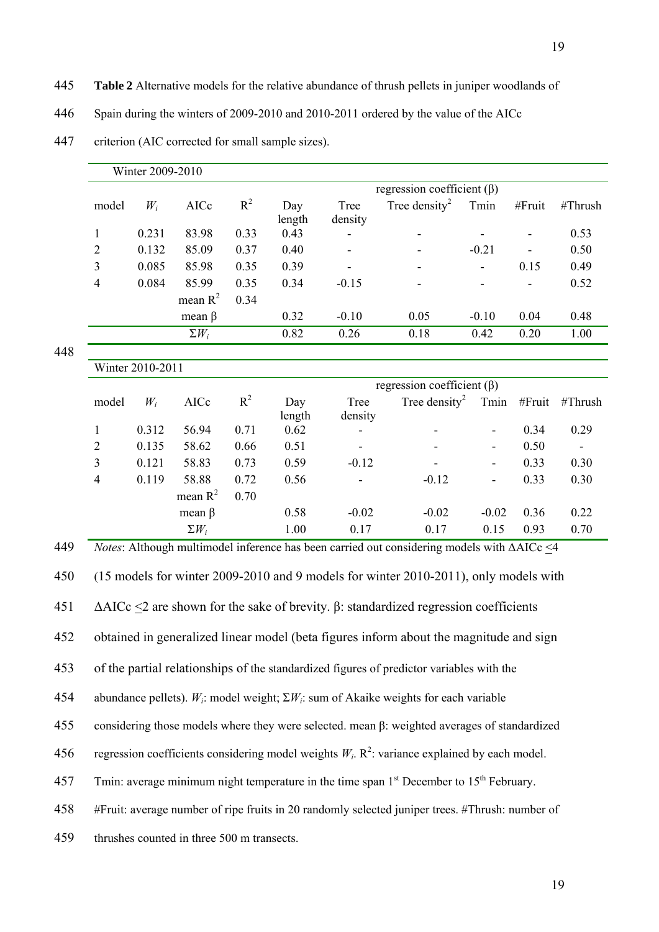- 445 **Table 2** Alternative models for the relative abundance of thrush pellets in juniper woodlands of
- 446 Spain during the winters of 2009-2010 and 2010-2011 ordered by the value of the AICc

|     |                                                                                                                 | Winter 2009-2010                                                                                    |              |       |               |                 |                                                                                                           |                          |        |         |
|-----|-----------------------------------------------------------------------------------------------------------------|-----------------------------------------------------------------------------------------------------|--------------|-------|---------------|-----------------|-----------------------------------------------------------------------------------------------------------|--------------------------|--------|---------|
|     | regression coefficient $(\beta)$                                                                                |                                                                                                     |              |       |               |                 |                                                                                                           |                          |        |         |
|     | model                                                                                                           | $W_i$                                                                                               | AICc         | $R^2$ | Day<br>length | Tree<br>density | Tree density <sup>2</sup>                                                                                 | Tmin                     | #Fruit | #Thrush |
|     | $\mathbf{1}$                                                                                                    | 0.231                                                                                               | 83.98        | 0.33  | 0.43          |                 |                                                                                                           |                          |        | 0.53    |
|     | $\overline{2}$                                                                                                  | 0.132                                                                                               | 85.09        | 0.37  | 0.40          |                 |                                                                                                           | $-0.21$                  |        | 0.50    |
|     | $\mathfrak{Z}$                                                                                                  | 0.085                                                                                               | 85.98        | 0.35  | 0.39          |                 |                                                                                                           |                          | 0.15   | 0.49    |
|     | $\overline{4}$                                                                                                  | 0.084                                                                                               | 85.99        | 0.35  | 0.34          | $-0.15$         |                                                                                                           |                          |        | 0.52    |
|     |                                                                                                                 |                                                                                                     | mean $R^2$   | 0.34  |               |                 |                                                                                                           |                          |        |         |
|     |                                                                                                                 |                                                                                                     | mean $\beta$ |       | 0.32          | $-0.10$         | 0.05                                                                                                      | $-0.10$                  | 0.04   | 0.48    |
|     |                                                                                                                 |                                                                                                     | $\Sigma W_i$ |       | 0.82          | 0.26            | 0.18                                                                                                      | 0.42                     | 0.20   | 1.00    |
| 448 |                                                                                                                 | Winter 2010-2011                                                                                    |              |       |               |                 |                                                                                                           |                          |        |         |
|     |                                                                                                                 |                                                                                                     |              |       |               |                 | regression coefficient $(\beta)$                                                                          |                          |        |         |
|     | model                                                                                                           | $W_i$                                                                                               | AICc         | $R^2$ | Day<br>length | Tree<br>density | Tree density <sup>2</sup>                                                                                 | Tmin                     | #Fruit | #Thrush |
|     | $\mathbf{1}$                                                                                                    | 0.312                                                                                               | 56.94        | 0.71  | 0.62          |                 |                                                                                                           | $\overline{\phantom{0}}$ | 0.34   | 0.29    |
|     | $\overline{2}$                                                                                                  | 0.135                                                                                               | 58.62        | 0.66  | 0.51          |                 |                                                                                                           | $\blacksquare$           | 0.50   |         |
|     | $\mathfrak{Z}$                                                                                                  | 0.121                                                                                               | 58.83        | 0.73  | 0.59          | $-0.12$         |                                                                                                           | $\blacksquare$           | 0.33   | 0.30    |
|     | $\overline{\mathbf{4}}$                                                                                         | 0.119                                                                                               | 58.88        | 0.72  | 0.56          |                 | $-0.12$                                                                                                   | $\overline{\phantom{a}}$ | 0.33   | 0.30    |
|     |                                                                                                                 |                                                                                                     | mean $R^2$   | 0.70  |               |                 |                                                                                                           |                          |        |         |
|     |                                                                                                                 |                                                                                                     | mean $\beta$ |       | 0.58          | $-0.02$         | $-0.02$                                                                                                   | $-0.02$                  | 0.36   | 0.22    |
|     |                                                                                                                 |                                                                                                     | $\Sigma W_i$ |       | 1.00          | 0.17            | 0.17                                                                                                      | 0.15                     | 0.93   | 0.70    |
| 449 |                                                                                                                 |                                                                                                     |              |       |               |                 | Notes: Although multimodel inference has been carried out considering models with $\triangle AICc \leq 4$ |                          |        |         |
| 450 |                                                                                                                 |                                                                                                     |              |       |               |                 | (15 models for winter 2009-2010 and 9 models for winter 2010-2011), only models with                      |                          |        |         |
| 451 |                                                                                                                 |                                                                                                     |              |       |               |                 | $\triangle AICc \leq 2$ are shown for the sake of brevity. $\beta$ : standardized regression coefficients |                          |        |         |
| 452 |                                                                                                                 |                                                                                                     |              |       |               |                 | obtained in generalized linear model (beta figures inform about the magnitude and sign                    |                          |        |         |
| 453 | of the partial relationships of the standardized figures of predictor variables with the                        |                                                                                                     |              |       |               |                 |                                                                                                           |                          |        |         |
| 454 | abundance pellets). $W_i$ : model weight; $\Sigma W_i$ : sum of Akaike weights for each variable                |                                                                                                     |              |       |               |                 |                                                                                                           |                          |        |         |
| 455 | considering those models where they were selected. mean $\beta$ : weighted averages of standardized             |                                                                                                     |              |       |               |                 |                                                                                                           |                          |        |         |
| 456 |                                                                                                                 | regression coefficients considering model weights $W_i$ . $R^2$ : variance explained by each model. |              |       |               |                 |                                                                                                           |                          |        |         |
| 457 | Tmin: average minimum night temperature in the time span 1 <sup>st</sup> December to 15 <sup>th</sup> February. |                                                                                                     |              |       |               |                 |                                                                                                           |                          |        |         |
| 458 |                                                                                                                 | #Fruit: average number of ripe fruits in 20 randomly selected juniper trees. #Thrush: number of     |              |       |               |                 |                                                                                                           |                          |        |         |

447 criterion (AIC corrected for small sample sizes).

459 thrushes counted in three 500 m transects.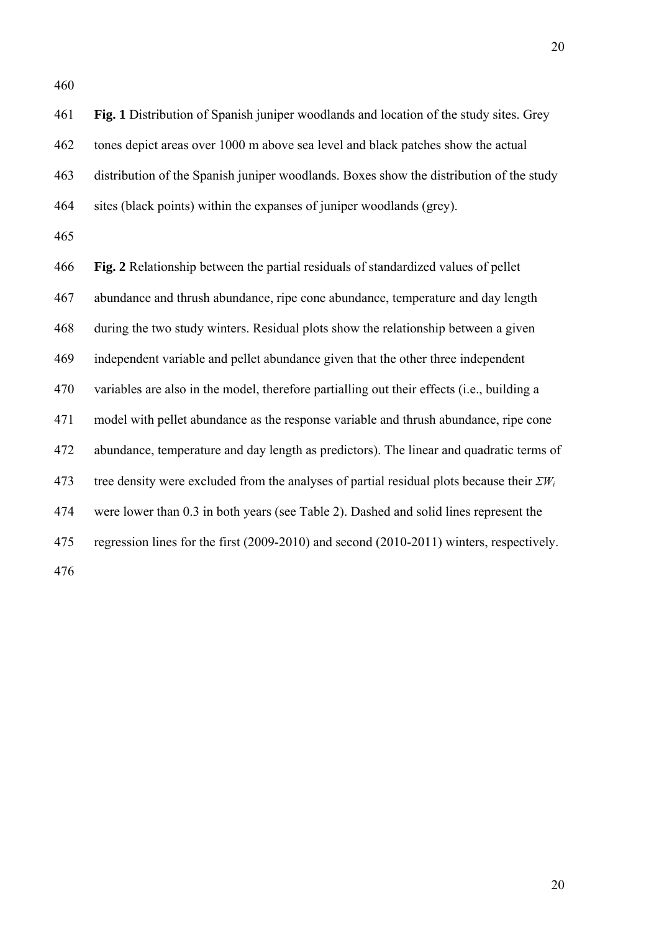461 **Fig. 1** Distribution of Spanish juniper woodlands and location of the study sites. Grey 462 tones depict areas over 1000 m above sea level and black patches show the actual 463 distribution of the Spanish juniper woodlands. Boxes show the distribution of the study 464 sites (black points) within the expanses of juniper woodlands (grey).

465

466 **Fig. 2** Relationship between the partial residuals of standardized values of pellet 467 abundance and thrush abundance, ripe cone abundance, temperature and day length 468 during the two study winters. Residual plots show the relationship between a given 469 independent variable and pellet abundance given that the other three independent 470 variables are also in the model, therefore partialling out their effects (i.e., building a 471 model with pellet abundance as the response variable and thrush abundance, ripe cone 472 abundance, temperature and day length as predictors). The linear and quadratic terms of 473 tree density were excluded from the analyses of partial residual plots because their *ΣWi* 474 were lower than 0.3 in both years (see Table 2). Dashed and solid lines represent the 475 regression lines for the first (2009-2010) and second (2010-2011) winters, respectively.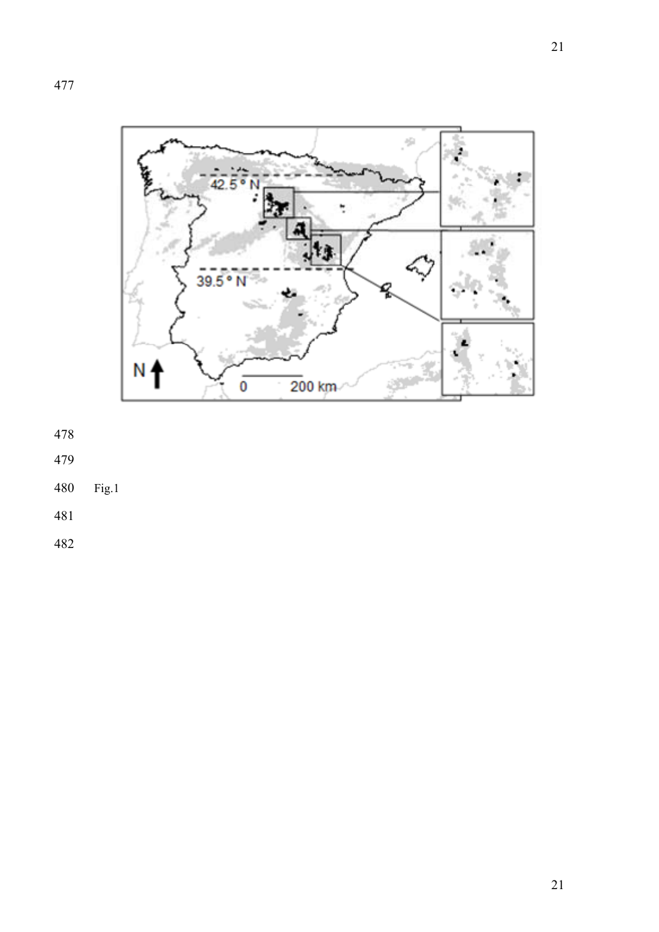



- 
- 480 Fig.1
-